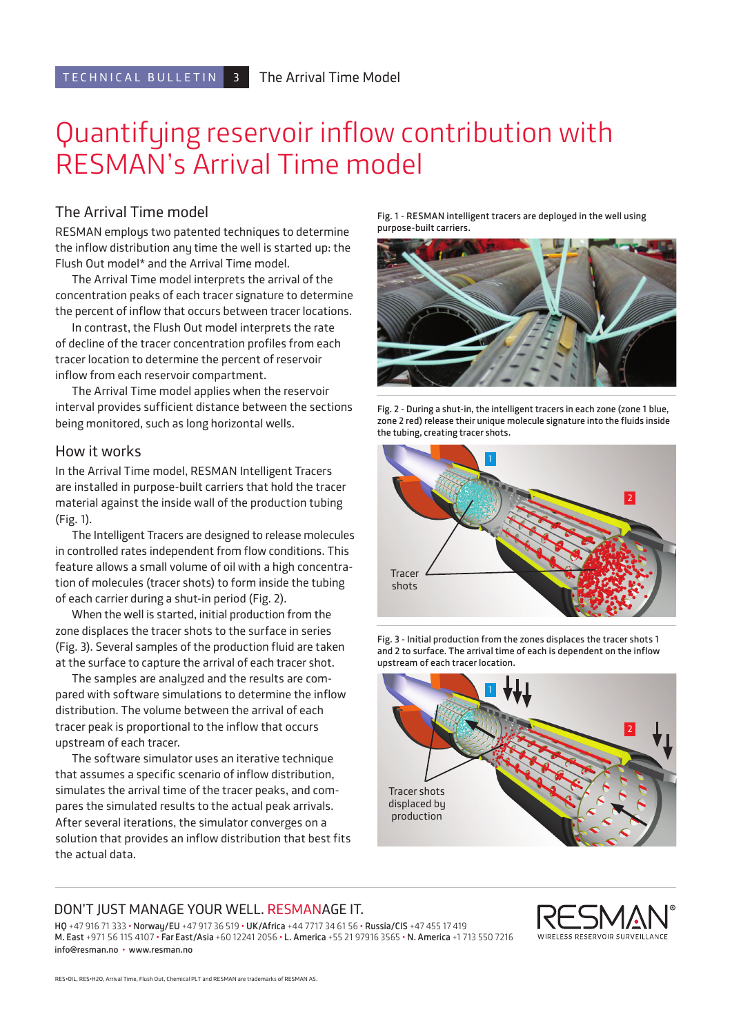# Quantifying reservoir inflow contribution with RESMAN's Arrival Time model

### The Arrival Time model

RESMAN employs two patented techniques to determine the inflow distribution any time the well is started up: the Flush Out model\* and the Arrival Time model.

The Arrival Time model interprets the arrival of the concentration peaks of each tracer signature to determine the percent of inflow that occurs between tracer locations.

In contrast, the Flush Out model interprets the rate of decline of the tracer concentration profiles from each tracer location to determine the percent of reservoir inflow from each reservoir compartment.

The Arrival Time model applies when the reservoir interval provides sufficient distance between the sections being monitored, such as long horizontal wells.

### How it works

In the Arrival Time model, RESMAN Intelligent Tracers are installed in purpose-built carriers that hold the tracer material against the inside wall of the production tubing (Fig. 1).

The Intelligent Tracers are designed to release molecules in controlled rates independent from flow conditions. This feature allows a small volume of oil with a high concentration of molecules (tracer shots) to form inside the tubing of each carrier during a shut-in period (Fig. 2).

When the well is started, initial production from the zone displaces the tracer shots to the surface in series (Fig. 3). Several samples of the production fluid are taken at the surface to capture the arrival of each tracer shot.

The samples are analyzed and the results are compared with software simulations to determine the inflow distribution. The volume between the arrival of each tracer peak is proportional to the inflow that occurs upstream of each tracer.

The software simulator uses an iterative technique that assumes a specific scenario of inflow distribution, simulates the arrival time of the tracer peaks, and compares the simulated results to the actual peak arrivals. After several iterations, the simulator converges on a solution that provides an inflow distribution that best fits the actual data.

**Fig. 1 - RESMAN intelligent tracers are deployed in the well using purpose-built carriers.** 



**Fig. 2 - During a shut-in, the intelligent tracers in each zone (zone 1 blue, zone 2 red) release their unique molecule signature into the fluids inside the tubing, creating tracer shots.**



**Fig. 3 - Initial production from the zones displaces the tracer shots 1 and 2 to surface. The arrival time of each is dependent on the inflow upstream of each tracer location.**



#### DON'T JUST MANAGE YOUR WELL. RESMANAGE IT.

**HQ** +47 916 71 333 • **Norway/EU** +47 917 36 519 • **UK/Africa** +44 7717 34 61 56 • **Russia/CIS** +47 455 17 419 **M. East** +971 56 115 4107 • **Far East/Asia** +60 12241 2056 • **L. America** +55 21 97916 3565 • **N. America** +1 713 550 7216 **info@resman.no** • **www.resman.no**